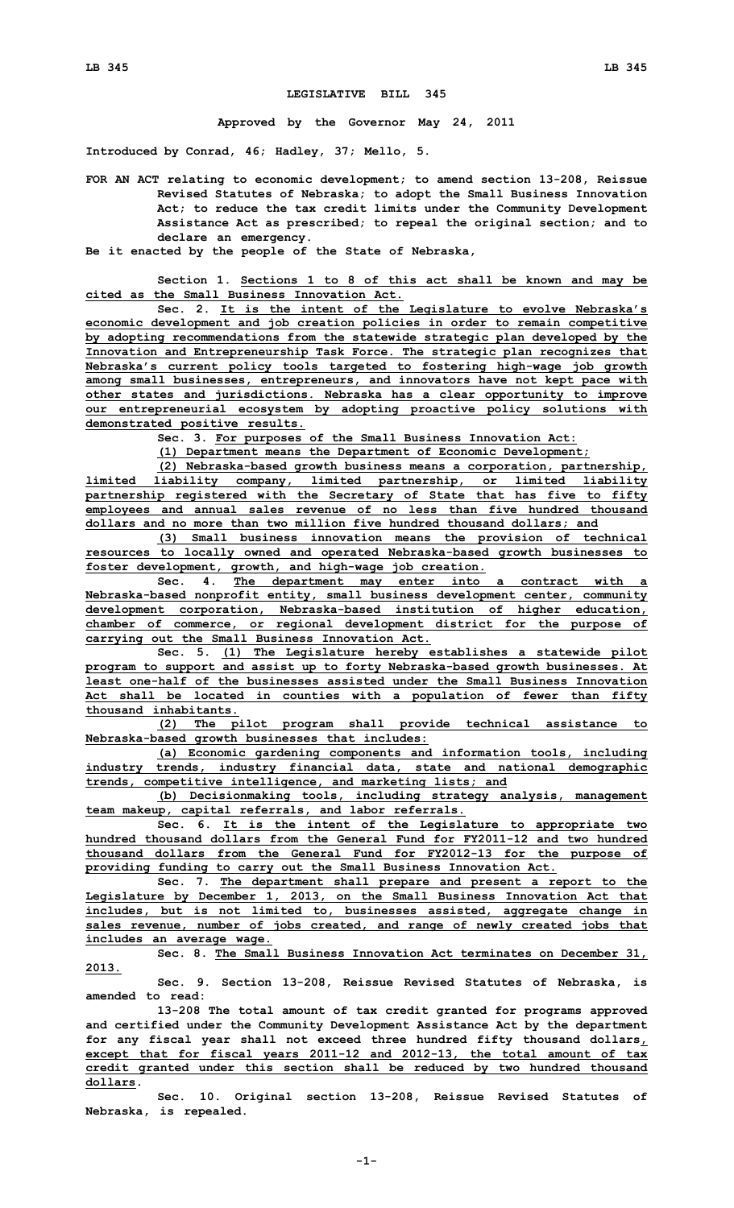## **LEGISLATIVE BILL 345**

**Approved by the Governor May 24, 2011**

**Introduced by Conrad, 46; Hadley, 37; Mello, 5.**

**FOR AN ACT relating to economic development; to amend section 13-208, Reissue Revised Statutes of Nebraska; to adopt the Small Business Innovation Act; to reduce the tax credit limits under the Community Development Assistance Act as prescribed; to repeal the original section; and to declare an emergency.**

**Be it enacted by the people of the State of Nebraska,**

**Section 1. Sections 1 to 8 of this act shall be known and may be cited as the Small Business Innovation Act.**

**Sec. 2. It is the intent of the Legislature to evolve Nebraska's economic development and job creation policies in order to remain competitive by adopting recommendations from the statewide strategic plan developed by the Innovation and Entrepreneurship Task Force. The strategic plan recognizes that Nebraska's current policy tools targeted to fostering high-wage job growth among small businesses, entrepreneurs, and innovators have not kept pace with other states and jurisdictions. Nebraska has <sup>a</sup> clear opportunity to improve our entrepreneurial ecosystem by adopting proactive policy solutions with demonstrated positive results.**

**Sec. 3. For purposes of the Small Business Innovation Act:**

**(1) Department means the Department of Economic Development;**

**(2) Nebraska-based growth business means <sup>a</sup> corporation, partnership, limited liability company, limited partnership, or limited liability partnership registered with the Secretary of State that has five to fifty employees and annual sales revenue of no less than five hundred thousand dollars and no more than two million five hundred thousand dollars; and**

**(3) Small business innovation means the provision of technical resources to locally owned and operated Nebraska-based growth businesses to foster development, growth, and high-wage job creation.**

**Sec. 4. The department may enter into <sup>a</sup> contract with <sup>a</sup> Nebraska-based nonprofit entity, small business development center, community development corporation, Nebraska-based institution of higher education, chamber of commerce, or regional development district for the purpose of carrying out the Small Business Innovation Act.**

**Sec. 5. (1) The Legislature hereby establishes <sup>a</sup> statewide pilot program to support and assist up to forty Nebraska-based growth businesses. At least one-half of the businesses assisted under the Small Business Innovation Act shall be located in counties with <sup>a</sup> population of fewer than fifty thousand inhabitants.**

**(2) The pilot program shall provide technical assistance to Nebraska-based growth businesses that includes:**

**(a) Economic gardening components and information tools, including industry trends, industry financial data, state and national demographic trends, competitive intelligence, and marketing lists; and**

**(b) Decisionmaking tools, including strategy analysis, management team makeup, capital referrals, and labor referrals.**

**Sec. 6. It is the intent of the Legislature to appropriate two hundred thousand dollars from the General Fund for FY2011-12 and two hundred thousand dollars from the General Fund for FY2012-13 for the purpose of providing funding to carry out the Small Business Innovation Act.**

**Sec. 7. The department shall prepare and present <sup>a</sup> report to the Legislature by December 1, 2013, on the Small Business Innovation Act that includes, but is not limited to, businesses assisted, aggregate change in sales revenue, number of jobs created, and range of newly created jobs that includes an average wage.**

**Sec. 8. The Small Business Innovation Act terminates on December 31, 2013.**

**Sec. 9. Section 13-208, Reissue Revised Statutes of Nebraska, is amended to read:**

**13-208 The total amount of tax credit granted for programs approved and certified under the Community Development Assistance Act by the department for any fiscal year shall not exceed three hundred fifty thousand dollars, except that for fiscal years 2011-12 and 2012-13, the total amount of tax credit granted under this section shall be reduced by two hundred thousand dollars.**

**Sec. 10. Original section 13-208, Reissue Revised Statutes of Nebraska, is repealed.**